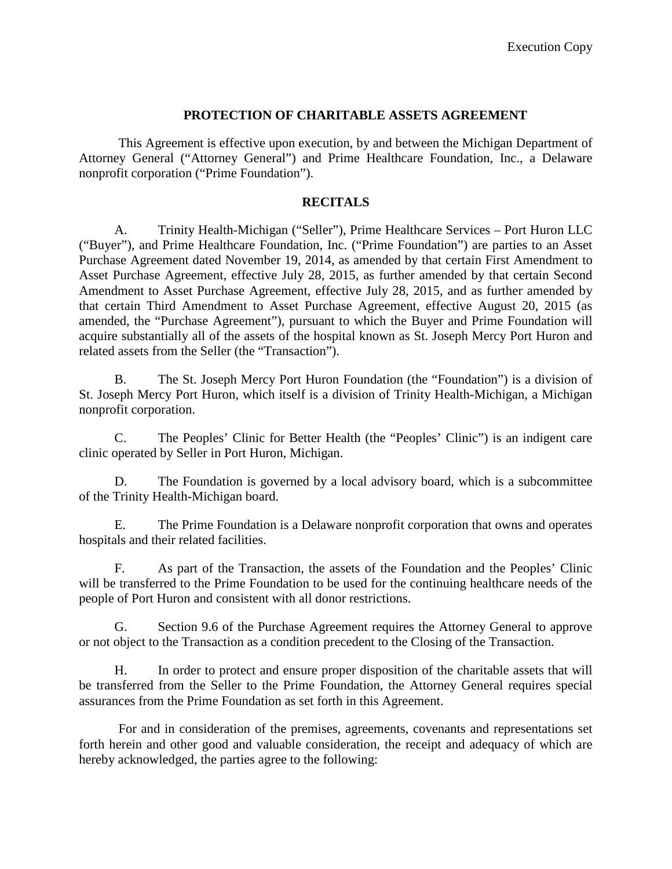#### **PROTECTION OF CHARITABLE ASSETS AGREEMENT**

This Agreement is effective upon execution, by and between the Michigan Department of Attorney General ("Attorney General") and Prime Healthcare Foundation, Inc., a Delaware nonprofit corporation ("Prime Foundation").

#### **RECITALS**

A. Trinity Health-Michigan ("Seller"), Prime Healthcare Services – Port Huron LLC ("Buyer"), and Prime Healthcare Foundation, Inc. ("Prime Foundation") are parties to an Asset Purchase Agreement dated November 19, 2014, as amended by that certain First Amendment to Asset Purchase Agreement, effective July 28, 2015, as further amended by that certain Second Amendment to Asset Purchase Agreement, effective July 28, 2015, and as further amended by that certain Third Amendment to Asset Purchase Agreement, effective August 20, 2015 (as amended, the "Purchase Agreement"), pursuant to which the Buyer and Prime Foundation will acquire substantially all of the assets of the hospital known as St. Joseph Mercy Port Huron and related assets from the Seller (the "Transaction").

B. The St. Joseph Mercy Port Huron Foundation (the "Foundation") is a division of St. Joseph Mercy Port Huron, which itself is a division of Trinity Health-Michigan, a Michigan nonprofit corporation.

C. The Peoples' Clinic for Better Health (the "Peoples' Clinic") is an indigent care clinic operated by Seller in Port Huron, Michigan.

D. The Foundation is governed by a local advisory board, which is a subcommittee of the Trinity Health-Michigan board.

E. The Prime Foundation is a Delaware nonprofit corporation that owns and operates hospitals and their related facilities.

F. As part of the Transaction, the assets of the Foundation and the Peoples' Clinic will be transferred to the Prime Foundation to be used for the continuing healthcare needs of the people of Port Huron and consistent with all donor restrictions.

G. Section 9.6 of the Purchase Agreement requires the Attorney General to approve or not object to the Transaction as a condition precedent to the Closing of the Transaction.

H. In order to protect and ensure proper disposition of the charitable assets that will be transferred from the Seller to the Prime Foundation, the Attorney General requires special assurances from the Prime Foundation as set forth in this Agreement.

For and in consideration of the premises, agreements, covenants and representations set forth herein and other good and valuable consideration, the receipt and adequacy of which are hereby acknowledged, the parties agree to the following: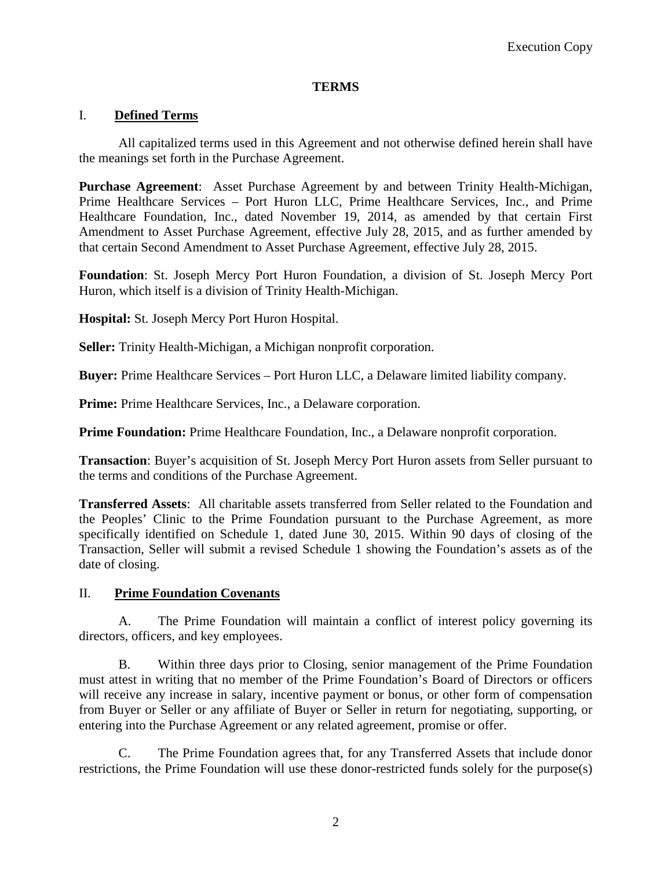# **TERMS**

# I. **Defined Terms**

All capitalized terms used in this Agreement and not otherwise defined herein shall have the meanings set forth in the Purchase Agreement.

**Purchase Agreement**: Asset Purchase Agreement by and between Trinity Health-Michigan, Prime Healthcare Services – Port Huron LLC, Prime Healthcare Services, Inc., and Prime Healthcare Foundation, Inc., dated November 19, 2014, as amended by that certain First Amendment to Asset Purchase Agreement, effective July 28, 2015, and as further amended by that certain Second Amendment to Asset Purchase Agreement, effective July 28, 2015.

**Foundation**: St. Joseph Mercy Port Huron Foundation, a division of St. Joseph Mercy Port Huron, which itself is a division of Trinity Health-Michigan.

**Hospital:** St. Joseph Mercy Port Huron Hospital.

**Seller:** Trinity Health-Michigan, a Michigan nonprofit corporation.

**Buyer:** Prime Healthcare Services – Port Huron LLC, a Delaware limited liability company.

**Prime:** Prime Healthcare Services, Inc., a Delaware corporation.

**Prime Foundation:** Prime Healthcare Foundation, Inc., a Delaware nonprofit corporation.

**Transaction**: Buyer's acquisition of St. Joseph Mercy Port Huron assets from Seller pursuant to the terms and conditions of the Purchase Agreement.

**Transferred Assets**: All charitable assets transferred from Seller related to the Foundation and the Peoples' Clinic to the Prime Foundation pursuant to the Purchase Agreement, as more specifically identified on Schedule 1, dated June 30, 2015. Within 90 days of closing of the Transaction, Seller will submit a revised Schedule 1 showing the Foundation's assets as of the date of closing.

## II. **Prime Foundation Covenants**

A. The Prime Foundation will maintain a conflict of interest policy governing its directors, officers, and key employees.

B. Within three days prior to Closing, senior management of the Prime Foundation must attest in writing that no member of the Prime Foundation's Board of Directors or officers will receive any increase in salary, incentive payment or bonus, or other form of compensation from Buyer or Seller or any affiliate of Buyer or Seller in return for negotiating, supporting, or entering into the Purchase Agreement or any related agreement, promise or offer.

C. The Prime Foundation agrees that, for any Transferred Assets that include donor restrictions, the Prime Foundation will use these donor-restricted funds solely for the purpose(s)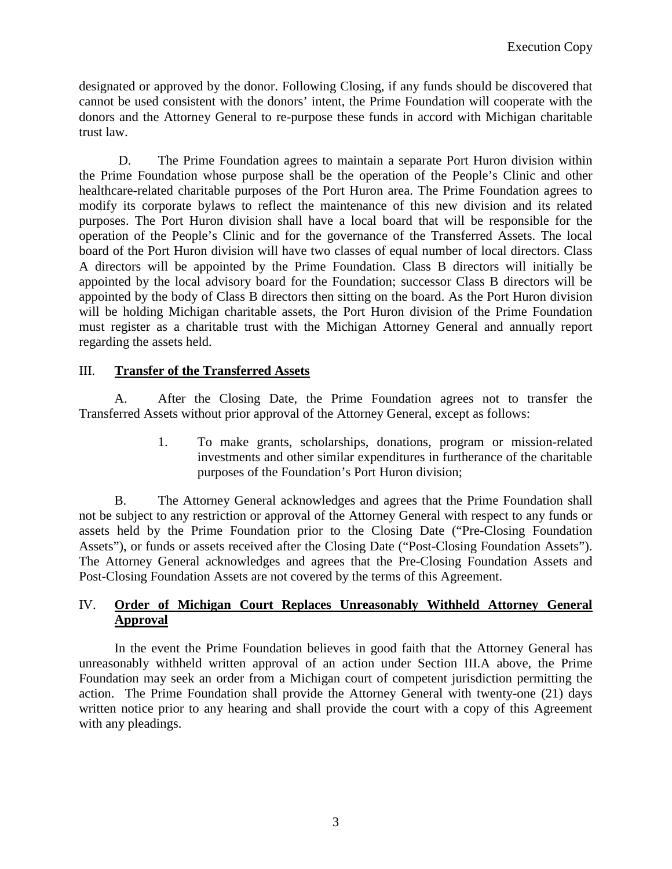designated or approved by the donor. Following Closing, if any funds should be discovered that cannot be used consistent with the donors' intent, the Prime Foundation will cooperate with the donors and the Attorney General to re-purpose these funds in accord with Michigan charitable trust law.

D. The Prime Foundation agrees to maintain a separate Port Huron division within the Prime Foundation whose purpose shall be the operation of the People's Clinic and other healthcare-related charitable purposes of the Port Huron area. The Prime Foundation agrees to modify its corporate bylaws to reflect the maintenance of this new division and its related purposes. The Port Huron division shall have a local board that will be responsible for the operation of the People's Clinic and for the governance of the Transferred Assets. The local board of the Port Huron division will have two classes of equal number of local directors. Class A directors will be appointed by the Prime Foundation. Class B directors will initially be appointed by the local advisory board for the Foundation; successor Class B directors will be appointed by the body of Class B directors then sitting on the board. As the Port Huron division will be holding Michigan charitable assets, the Port Huron division of the Prime Foundation must register as a charitable trust with the Michigan Attorney General and annually report regarding the assets held.

# III. **Transfer of the Transferred Assets**

A. After the Closing Date, the Prime Foundation agrees not to transfer the Transferred Assets without prior approval of the Attorney General, except as follows:

> 1. To make grants, scholarships, donations, program or mission-related investments and other similar expenditures in furtherance of the charitable purposes of the Foundation's Port Huron division;

B. The Attorney General acknowledges and agrees that the Prime Foundation shall not be subject to any restriction or approval of the Attorney General with respect to any funds or assets held by the Prime Foundation prior to the Closing Date ("Pre-Closing Foundation Assets"), or funds or assets received after the Closing Date ("Post-Closing Foundation Assets"). The Attorney General acknowledges and agrees that the Pre-Closing Foundation Assets and Post-Closing Foundation Assets are not covered by the terms of this Agreement.

# IV. **Order of Michigan Court Replaces Unreasonably Withheld Attorney General Approval**

In the event the Prime Foundation believes in good faith that the Attorney General has unreasonably withheld written approval of an action under Section III.A above, the Prime Foundation may seek an order from a Michigan court of competent jurisdiction permitting the action. The Prime Foundation shall provide the Attorney General with twenty-one (21) days written notice prior to any hearing and shall provide the court with a copy of this Agreement with any pleadings.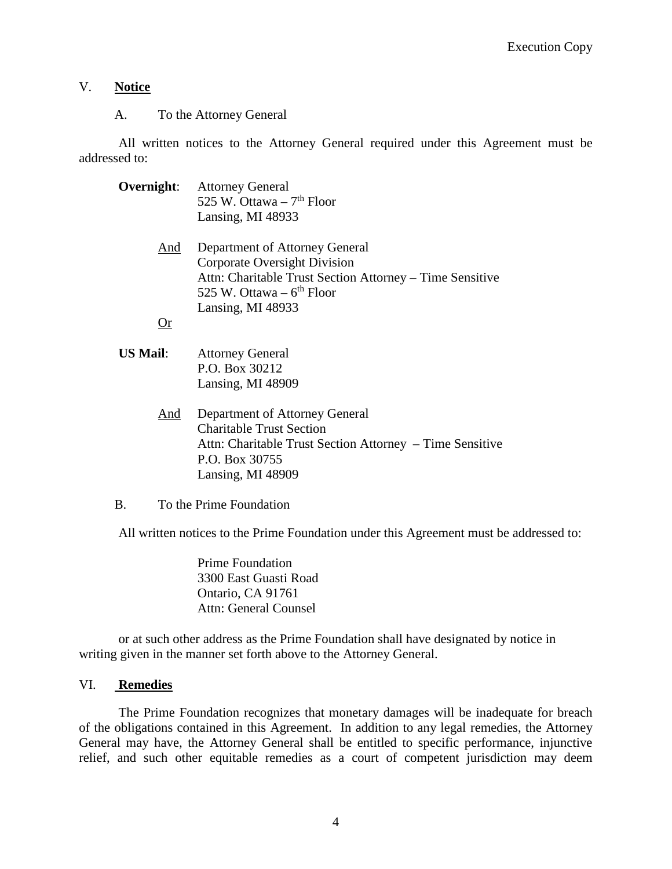## V. **Notice**

A. To the Attorney General

All written notices to the Attorney General required under this Agreement must be addressed to:

- **Overnight**: Attorney General 525 W. Ottawa –  $7<sup>th</sup>$  Floor Lansing, MI 48933 And Department of Attorney General Corporate Oversight Division Attn: Charitable Trust Section Attorney – Time Sensitive 525 W. Ottawa –  $6<sup>th</sup>$  Floor Lansing, MI 48933 Or
- **US Mail**: Attorney General P.O. Box 30212 Lansing, MI 48909
	- And Department of Attorney General Charitable Trust Section Attn: Charitable Trust Section Attorney – Time Sensitive P.O. Box 30755 Lansing, MI 48909
- B. To the Prime Foundation

All written notices to the Prime Foundation under this Agreement must be addressed to:

Prime Foundation 3300 East Guasti Road Ontario, CA 91761 Attn: General Counsel

or at such other address as the Prime Foundation shall have designated by notice in writing given in the manner set forth above to the Attorney General.

#### VI. **Remedies**

The Prime Foundation recognizes that monetary damages will be inadequate for breach of the obligations contained in this Agreement. In addition to any legal remedies, the Attorney General may have, the Attorney General shall be entitled to specific performance, injunctive relief, and such other equitable remedies as a court of competent jurisdiction may deem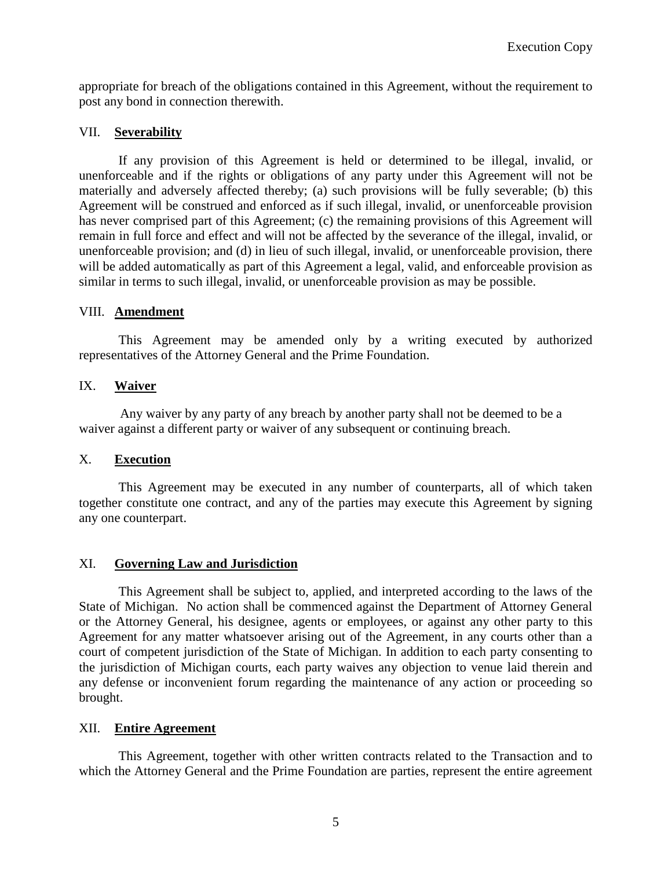appropriate for breach of the obligations contained in this Agreement, without the requirement to post any bond in connection therewith.

#### VII. **Severability**

If any provision of this Agreement is held or determined to be illegal, invalid, or unenforceable and if the rights or obligations of any party under this Agreement will not be materially and adversely affected thereby; (a) such provisions will be fully severable; (b) this Agreement will be construed and enforced as if such illegal, invalid, or unenforceable provision has never comprised part of this Agreement; (c) the remaining provisions of this Agreement will remain in full force and effect and will not be affected by the severance of the illegal, invalid, or unenforceable provision; and (d) in lieu of such illegal, invalid, or unenforceable provision, there will be added automatically as part of this Agreement a legal, valid, and enforceable provision as similar in terms to such illegal, invalid, or unenforceable provision as may be possible.

#### VIII. **Amendment**

This Agreement may be amended only by a writing executed by authorized representatives of the Attorney General and the Prime Foundation.

## IX. **Waiver**

Any waiver by any party of any breach by another party shall not be deemed to be a waiver against a different party or waiver of any subsequent or continuing breach.

#### X. **Execution**

This Agreement may be executed in any number of counterparts, all of which taken together constitute one contract, and any of the parties may execute this Agreement by signing any one counterpart.

## XI. **Governing Law and Jurisdiction**

This Agreement shall be subject to, applied, and interpreted according to the laws of the State of Michigan. No action shall be commenced against the Department of Attorney General or the Attorney General, his designee, agents or employees, or against any other party to this Agreement for any matter whatsoever arising out of the Agreement, in any courts other than a court of competent jurisdiction of the State of Michigan. In addition to each party consenting to the jurisdiction of Michigan courts, each party waives any objection to venue laid therein and any defense or inconvenient forum regarding the maintenance of any action or proceeding so brought.

#### XII. **Entire Agreement**

This Agreement, together with other written contracts related to the Transaction and to which the Attorney General and the Prime Foundation are parties, represent the entire agreement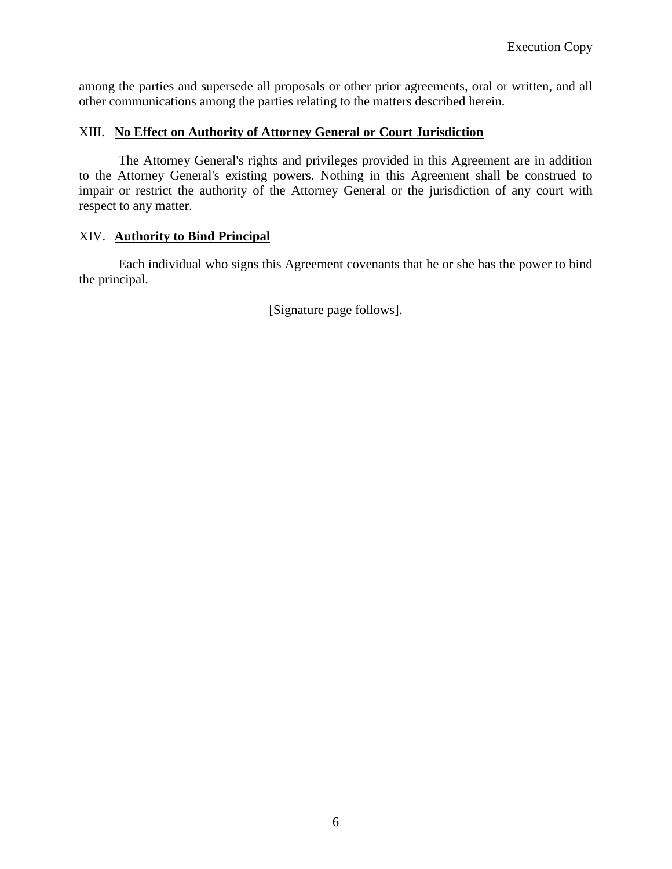among the parties and supersede all proposals or other prior agreements, oral or written, and all other communications among the parties relating to the matters described herein.

#### XIII. **No Effect on Authority of Attorney General or Court Jurisdiction**

The Attorney General's rights and privileges provided in this Agreement are in addition to the Attorney General's existing powers. Nothing in this Agreement shall be construed to impair or restrict the authority of the Attorney General or the jurisdiction of any court with respect to any matter.

## XIV. **Authority to Bind Principal**

Each individual who signs this Agreement covenants that he or she has the power to bind the principal.

[Signature page follows].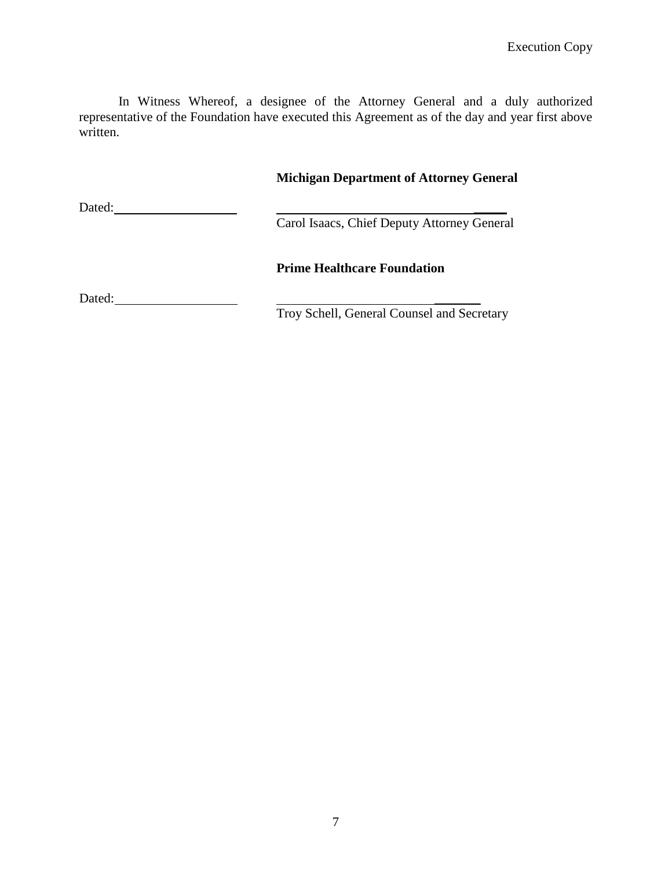In Witness Whereof, a designee of the Attorney General and a duly authorized representative of the Foundation have executed this Agreement as of the day and year first above written.

|        | <b>Michigan Department of Attorney General</b> |  |  |
|--------|------------------------------------------------|--|--|
| Dated: | Carol Isaacs, Chief Deputy Attorney General    |  |  |
|        | <b>Prime Healthcare Foundation</b>             |  |  |
| Dated: | Troy Schell, General Counsel and Secretary     |  |  |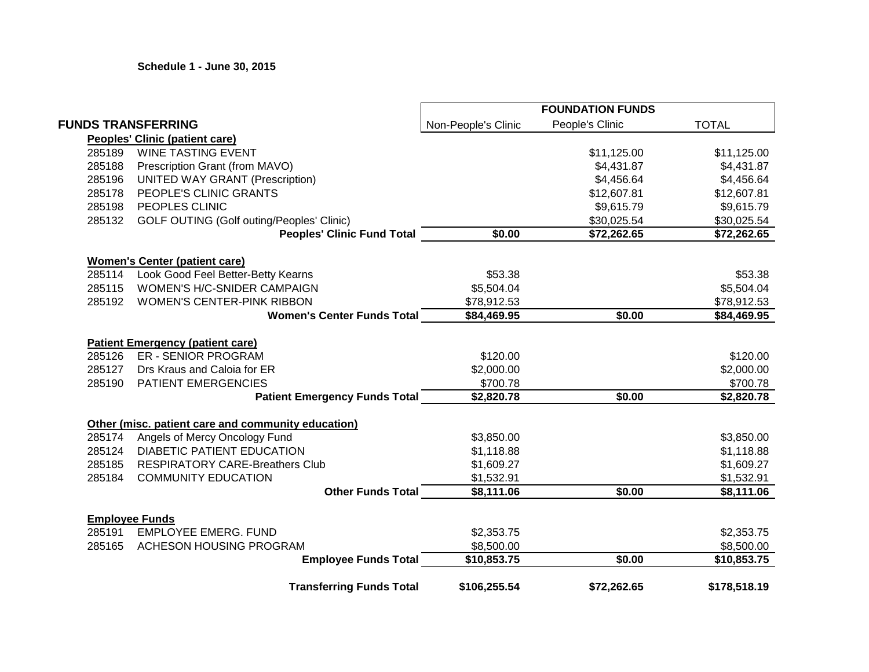**Schedule 1 - June 30, 2015**

|        |                                                    |                     | <b>FOUNDATION FUNDS</b> |              |
|--------|----------------------------------------------------|---------------------|-------------------------|--------------|
|        | <b>FUNDS TRANSFERRING</b>                          | Non-People's Clinic | People's Clinic         | <b>TOTAL</b> |
|        | <b>Peoples' Clinic (patient care)</b>              |                     |                         |              |
| 285189 | <b>WINE TASTING EVENT</b>                          |                     | \$11,125.00             | \$11,125.00  |
| 285188 | Prescription Grant (from MAVO)                     |                     | \$4,431.87              | \$4,431.87   |
| 285196 | <b>UNITED WAY GRANT (Prescription)</b>             |                     | \$4,456.64              | \$4,456.64   |
| 285178 | PEOPLE'S CLINIC GRANTS                             |                     | \$12,607.81             | \$12,607.81  |
| 285198 | PEOPLES CLINIC                                     |                     | \$9,615.79              | \$9,615.79   |
| 285132 | <b>GOLF OUTING (Golf outing/Peoples' Clinic)</b>   |                     | \$30,025.54             | \$30,025.54  |
|        | <b>Peoples' Clinic Fund Total</b>                  | \$0.00              | \$72,262.65             | \$72,262.65  |
|        | <b>Women's Center (patient care)</b>               |                     |                         |              |
| 285114 | Look Good Feel Better-Betty Kearns                 | \$53.38             |                         | \$53.38      |
| 285115 | WOMEN'S H/C-SNIDER CAMPAIGN                        | \$5,504.04          |                         | \$5,504.04   |
| 285192 | <b>WOMEN'S CENTER-PINK RIBBON</b>                  | \$78,912.53         |                         | \$78,912.53  |
|        | <b>Women's Center Funds Total</b>                  | \$84,469.95         | \$0.00                  | \$84,469.95  |
|        | <b>Patient Emergency (patient care)</b>            |                     |                         |              |
| 285126 | <b>ER - SENIOR PROGRAM</b>                         | \$120.00            |                         | \$120.00     |
| 285127 | Drs Kraus and Caloia for ER                        | \$2,000.00          |                         | \$2,000.00   |
| 285190 | PATIENT EMERGENCIES                                | \$700.78            |                         | \$700.78     |
|        | <b>Patient Emergency Funds Total</b>               | \$2,820.78          | \$0.00                  | \$2,820.78   |
|        | Other (misc. patient care and community education) |                     |                         |              |
| 285174 | Angels of Mercy Oncology Fund                      | \$3,850.00          |                         | \$3,850.00   |
| 285124 | <b>DIABETIC PATIENT EDUCATION</b>                  | \$1,118.88          |                         | \$1,118.88   |
| 285185 | <b>RESPIRATORY CARE-Breathers Club</b>             | \$1,609.27          |                         | \$1,609.27   |
| 285184 | <b>COMMUNITY EDUCATION</b>                         | \$1,532.91          |                         | \$1,532.91   |
|        | <b>Other Funds Total</b>                           | \$8,111.06          | \$0.00                  | \$8,111.06   |
|        | <b>Employee Funds</b>                              |                     |                         |              |
| 285191 | <b>EMPLOYEE EMERG. FUND</b>                        | \$2,353.75          |                         | \$2,353.75   |
| 285165 | ACHESON HOUSING PROGRAM                            | \$8,500.00          |                         | \$8,500.00   |
|        | <b>Employee Funds Total</b>                        | \$10,853.75         | \$0.00                  | \$10,853.75  |
|        | <b>Transferring Funds Total</b>                    | \$106,255.54        | \$72,262.65             | \$178,518.19 |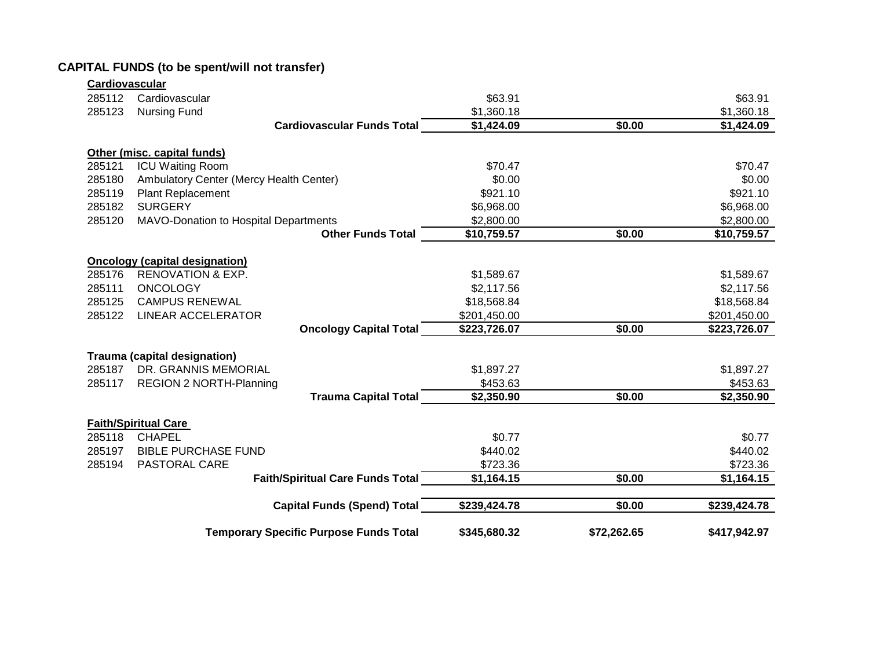| Cardiovascular |                                               |              |             |              |
|----------------|-----------------------------------------------|--------------|-------------|--------------|
| 285112         | Cardiovascular                                | \$63.91      |             | \$63.91      |
| 285123         | <b>Nursing Fund</b>                           | \$1,360.18   |             | \$1,360.18   |
|                | <b>Cardiovascular Funds Total</b>             | \$1,424.09   | \$0.00      | \$1,424.09   |
|                | Other (misc. capital funds)                   |              |             |              |
| 285121         | <b>ICU Waiting Room</b>                       | \$70.47      |             | \$70.47      |
| 285180         | Ambulatory Center (Mercy Health Center)       | \$0.00       |             | \$0.00       |
| 285119         | <b>Plant Replacement</b>                      | \$921.10     |             | \$921.10     |
| 285182         | <b>SURGERY</b>                                | \$6,968.00   |             | \$6,968.00   |
| 285120         | MAVO-Donation to Hospital Departments         | \$2,800.00   |             | \$2,800.00   |
|                | <b>Other Funds Total</b>                      | \$10,759.57  | \$0.00      | \$10,759.57  |
|                | <b>Oncology (capital designation)</b>         |              |             |              |
| 285176         | <b>RENOVATION &amp; EXP.</b>                  | \$1,589.67   |             | \$1,589.67   |
| 285111         | <b>ONCOLOGY</b>                               | \$2,117.56   |             | \$2,117.56   |
| 285125         | <b>CAMPUS RENEWAL</b>                         | \$18,568.84  |             | \$18,568.84  |
| 285122         | <b>LINEAR ACCELERATOR</b>                     | \$201,450.00 |             | \$201,450.00 |
|                | <b>Oncology Capital Total</b>                 | \$223,726.07 | \$0.00      | \$223,726.07 |
|                | <b>Trauma (capital designation)</b>           |              |             |              |
| 285187         | DR. GRANNIS MEMORIAL                          | \$1,897.27   |             | \$1,897.27   |
| 285117         | <b>REGION 2 NORTH-Planning</b>                | \$453.63     |             | \$453.63     |
|                | <b>Trauma Capital Total</b>                   | \$2,350.90   | \$0.00      | \$2,350.90   |
|                | <b>Faith/Spiritual Care</b>                   |              |             |              |
| 285118         | <b>CHAPEL</b>                                 | \$0.77       |             | \$0.77       |
| 285197         | <b>BIBLE PURCHASE FUND</b>                    | \$440.02     |             | \$440.02     |
| 285194         | <b>PASTORAL CARE</b>                          | \$723.36     |             | \$723.36     |
|                | <b>Faith/Spiritual Care Funds Total</b>       | \$1,164.15   | \$0.00      | \$1,164.15   |
|                |                                               |              |             |              |
|                | <b>Capital Funds (Spend) Total</b>            | \$239,424.78 | \$0.00      | \$239,424.78 |
|                | <b>Temporary Specific Purpose Funds Total</b> | \$345,680.32 | \$72,262.65 | \$417,942.97 |

# **CAPITAL FUNDS (to be spent/will not transfer)**